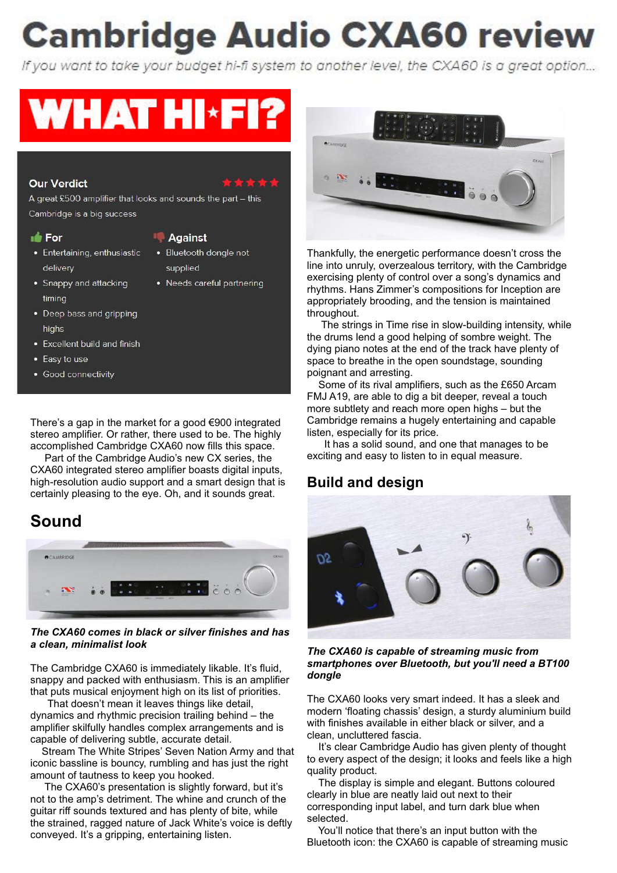# **Cambridge Audio CXA60 review**

If you want to take your budget hi-fi system to another level, the CXA60 is a great option...

# **WHAT HI\*FI?**

### **Our Verdict**

A great £500 amplifier that looks and sounds the part - this Cambridge is a big success

#### **Section**

- Entertaining, enthusiastic delivery
- Snappy and attacking timing
- Deep bass and gripping highs
- Excellent build and finish
- Easy to use
- Good connectivity

There's a gap in the market for a good €900 integrated stereo amplifier. Or rather, there used to be. The highly accomplished Cambridge CXA60 now fills this space.

 Part of the Cambridge Audio's new CX series, the CXA60 integrated stereo amplifier boasts digital inputs, high-resolution audio support and a smart design that is certainly pleasing to the eye. Oh, and it sounds great.

# **Sound**



*The CXA60 comes in black or silver finishes and has a clean, minimalist look*

The Cambridge CXA60 is immediately likable. It's fluid, snappy and packed with enthusiasm. This is an amplifier that puts musical enjoyment high on its list of priorities.

 That doesn't mean it leaves things like detail, dynamics and rhythmic precision trailing behind – the amplifier skilfully handles complex arrangements and is capable of delivering subtle, accurate detail.

 Stream The White Stripes' Seven Nation Army and that iconic bassline is bouncy, rumbling and has just the right amount of tautness to keep you hooked.

 The CXA60's presentation is slightly forward, but it's not to the amp's detriment. The whine and crunch of the guitar riff sounds textured and has plenty of bite, while the strained, ragged nature of Jack White's voice is deftly conveyed. It's a gripping, entertaining listen.



Thankfully, the energetic performance doesn't cross the line into unruly, overzealous territory, with the Cambridge exercising plenty of control over a song's dynamics and rhythms. Hans Zimmer's compositions for Inception are appropriately brooding, and the tension is maintained throughout.

 The strings in Time rise in slow-building intensity, while the drums lend a good helping of sombre weight. The dying piano notes at the end of the track have plenty of space to breathe in the open soundstage, sounding poignant and arresting.

 Some of its rival amplifiers, such as the £650 Arcam FMJ A19, are able to dig a bit deeper, reveal a touch more subtlety and reach more open highs – but the Cambridge remains a hugely entertaining and capable listen, especially for its price.

 It has a solid sound, and one that manages to be exciting and easy to listen to in equal measure.

# **Build and design**



*The CXA60 is capable of streaming music from smartphones over Bluetooth, but you'll need a BT100 dongle*

The CXA60 looks very smart indeed. It has a sleek and modern 'floating chassis' design, a sturdy aluminium build with finishes available in either black or silver, and a clean, uncluttered fascia.

 It's clear Cambridge Audio has given plenty of thought to every aspect of the design; it looks and feels like a high quality product.

 The display is simple and elegant. Buttons coloured clearly in blue are neatly laid out next to their corresponding input label, and turn dark blue when selected.

 You'll notice that there's an input button with the Bluetooth icon: the CXA60 is capable of streaming music

#### **Aqainst** · Bluetooth dongle not

supplied • Needs careful partnering